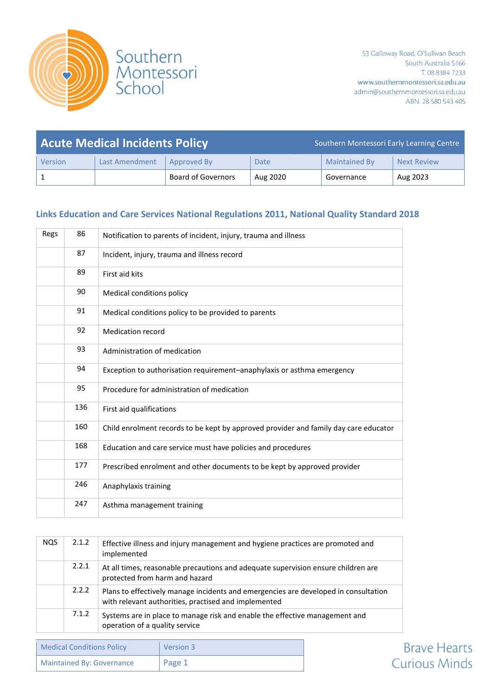

| <b>Acute Medical Incidents Policy</b> |                       |                           | Southern Montessori Early Learning Centre |                      |                    |
|---------------------------------------|-----------------------|---------------------------|-------------------------------------------|----------------------|--------------------|
| Version                               | <b>Last Amendment</b> | Approved By               | Date                                      | <b>Maintained By</b> | <b>Next Review</b> |
|                                       |                       | <b>Board of Governors</b> | Aug 2020                                  | Governance           | Aug 2023           |

## **Links Education and Care Services National Regulations 2011, National Quality Standard 2018**

| Regs | 86  | Notification to parents of incident, injury, trauma and illness                      |
|------|-----|--------------------------------------------------------------------------------------|
|      | 87  | Incident, injury, trauma and illness record                                          |
|      | 89  | First aid kits                                                                       |
|      | 90  | Medical conditions policy                                                            |
|      | 91  | Medical conditions policy to be provided to parents                                  |
|      | 92  | Medication record                                                                    |
|      | 93  | Administration of medication                                                         |
|      | 94  | Exception to authorisation requirement-anaphylaxis or asthma emergency               |
|      | 95  | Procedure for administration of medication                                           |
|      | 136 | First aid qualifications                                                             |
|      | 160 | Child enrolment records to be kept by approved provider and family day care educator |
|      | 168 | Education and care service must have policies and procedures                         |
|      | 177 | Prescribed enrolment and other documents to be kept by approved provider             |
|      | 246 | Anaphylaxis training                                                                 |
|      | 247 | Asthma management training                                                           |

| <b>NOS</b> | 2.1.2 | Effective illness and injury management and hygiene practices are promoted and<br>implemented                                               |
|------------|-------|---------------------------------------------------------------------------------------------------------------------------------------------|
|            | 2.2.1 | At all times, reasonable precautions and adequate supervision ensure children are<br>protected from harm and hazard                         |
|            | 2.2.2 | Plans to effectively manage incidents and emergencies are developed in consultation<br>with relevant authorities, practised and implemented |
|            | 7.1.2 | Systems are in place to manage risk and enable the effective management and<br>operation of a quality service                               |

| <b>Medical Conditions Policy</b> | Version 3 |
|----------------------------------|-----------|
| Maintained By: Governance        | Page 1    |

**Brave Hearts Curious Minds**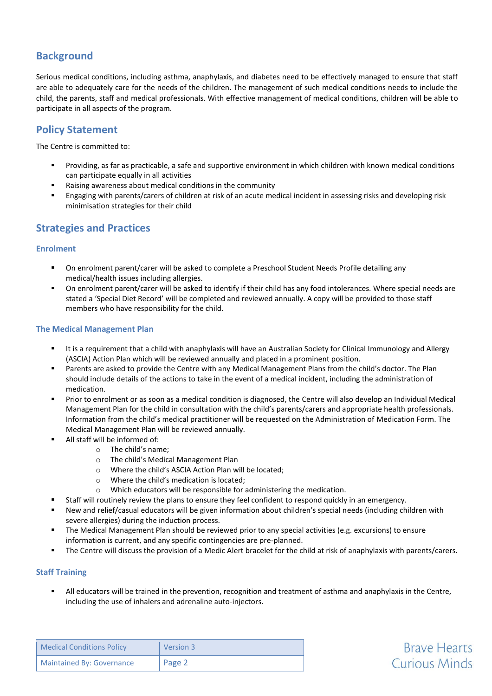# **Background**

Serious medical conditions, including asthma, anaphylaxis, and diabetes need to be effectively managed to ensure that staff are able to adequately care for the needs of the children. The management of such medical conditions needs to include the child, the parents, staff and medical professionals. With effective management of medical conditions, children will be able to participate in all aspects of the program.

# **Policy Statement**

The Centre is committed to:

- Providing, as far as practicable, a safe and supportive environment in which children with known medical conditions can participate equally in all activities
- Raising awareness about medical conditions in the community
- Engaging with parents/carers of children at risk of an acute medical incident in assessing risks and developing risk minimisation strategies for their child

# **Strategies and Practices**

### **Enrolment**

- On enrolment parent/carer will be asked to complete a Preschool Student Needs Profile detailing any medical/health issues including allergies.
- On enrolment parent/carer will be asked to identify if their child has any food intolerances. Where special needs are stated a 'Special Diet Record' will be completed and reviewed annually. A copy will be provided to those staff members who have responsibility for the child.

### **The Medical Management Plan**

- It is a requirement that a child with anaphylaxis will have an Australian Society for Clinical Immunology and Allergy (ASCIA) Action Plan which will be reviewed annually and placed in a prominent position.
- Parents are asked to provide the Centre with any Medical Management Plans from the child's doctor. The Plan should include details of the actions to take in the event of a medical incident, including the administration of medication.
- Prior to enrolment or as soon as a medical condition is diagnosed, the Centre will also develop an Individual Medical Management Plan for the child in consultation with the child's parents/carers and appropriate health professionals. Information from the child's medical practitioner will be requested on the Administration of Medication Form. The Medical Management Plan will be reviewed annually.
- All staff will be informed of:
	- o The child's name;
	- o The child's Medical Management Plan
	- o Where the child's ASCIA Action Plan will be located;
	- o Where the child's medication is located;
	- o Which educators will be responsible for administering the medication.
	- Staff will routinely review the plans to ensure they feel confident to respond quickly in an emergency.
- New and relief/casual educators will be given information about children's special needs (including children with severe allergies) during the induction process.
- The Medical Management Plan should be reviewed prior to any special activities (e.g. excursions) to ensure information is current, and any specific contingencies are pre-planned.
- The Centre will discuss the provision of a Medic Alert bracelet for the child at risk of anaphylaxis with parents/carers.

### **Staff Training**

 All educators will be trained in the prevention, recognition and treatment of asthma and anaphylaxis in the Centre, including the use of inhalers and adrenaline auto-injectors.

**Brave Hearts** 

**Curious Minds** 

| <b>Medical Conditions Policy</b> | Version 3 |
|----------------------------------|-----------|
| <b>Maintained By: Governance</b> | Page 2    |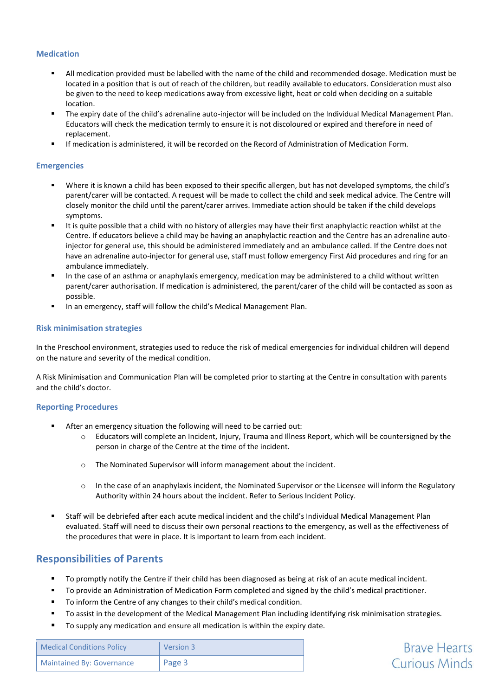#### **Medication**

- All medication provided must be labelled with the name of the child and recommended dosage. Medication must be located in a position that is out of reach of the children, but readily available to educators. Consideration must also be given to the need to keep medications away from excessive light, heat or cold when deciding on a suitable location.
- The expiry date of the child's adrenaline auto-injector will be included on the Individual Medical Management Plan. Educators will check the medication termly to ensure it is not discoloured or expired and therefore in need of replacement.
- If medication is administered, it will be recorded on the Record of Administration of Medication Form.

#### **Emergencies**

- Where it is known a child has been exposed to their specific allergen, but has not developed symptoms, the child's parent/carer will be contacted. A request will be made to collect the child and seek medical advice. The Centre will closely monitor the child until the parent/carer arrives. Immediate action should be taken if the child develops symptoms.
- It is quite possible that a child with no history of allergies may have their first anaphylactic reaction whilst at the Centre. If educators believe a child may be having an anaphylactic reaction and the Centre has an adrenaline autoinjector for general use, this should be administered immediately and an ambulance called. If the Centre does not have an adrenaline auto-injector for general use, staff must follow emergency First Aid procedures and ring for an ambulance immediately.
- In the case of an asthma or anaphylaxis emergency, medication may be administered to a child without written parent/carer authorisation. If medication is administered, the parent/carer of the child will be contacted as soon as possible.
- In an emergency, staff will follow the child's Medical Management Plan.

#### **Risk minimisation strategies**

In the Preschool environment, strategies used to reduce the risk of medical emergencies for individual children will depend on the nature and severity of the medical condition.

A Risk Minimisation and Communication Plan will be completed prior to starting at the Centre in consultation with parents and the child's doctor.

#### **Reporting Procedures**

- After an emergency situation the following will need to be carried out:
	- o Educators will complete an Incident, Injury, Trauma and Illness Report, which will be countersigned by the person in charge of the Centre at the time of the incident.
	- o The Nominated Supervisor will inform management about the incident.
	- o In the case of an anaphylaxis incident, the Nominated Supervisor or the Licensee will inform the Regulatory Authority within 24 hours about the incident. Refer to Serious Incident Policy.
- Staff will be debriefed after each acute medical incident and the child's Individual Medical Management Plan evaluated. Staff will need to discuss their own personal reactions to the emergency, as well as the effectiveness of the procedures that were in place. It is important to learn from each incident.

### **Responsibilities of Parents**

- To promptly notify the Centre if their child has been diagnosed as being at risk of an acute medical incident.
- To provide an Administration of Medication Form completed and signed by the child's medical practitioner.
- To inform the Centre of any changes to their child's medical condition.
- To assist in the development of the Medical Management Plan including identifying risk minimisation strategies.

**Brave Hearts Curious Minds** 

■ To supply any medication and ensure all medication is within the expiry date.

| <b>Medical Conditions Policy</b> | Version 3 |
|----------------------------------|-----------|
| <b>Maintained By: Governance</b> | Page 3    |